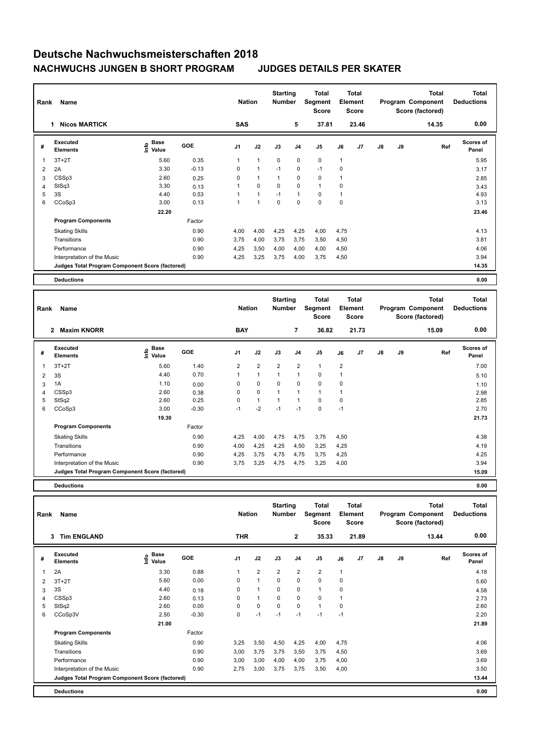| Rank | Name                                            |                                  |            | <b>Nation</b>  |                | <b>Starting</b><br><b>Number</b> |                | Total<br>Segment<br><b>Score</b> |              | <b>Total</b><br>Element<br><b>Score</b> |               |    | <b>Total</b><br>Program Component<br>Score (factored) | <b>Total</b><br><b>Deductions</b> |
|------|-------------------------------------------------|----------------------------------|------------|----------------|----------------|----------------------------------|----------------|----------------------------------|--------------|-----------------------------------------|---------------|----|-------------------------------------------------------|-----------------------------------|
|      | <b>Nicos MARTICK</b><br>1.                      |                                  |            | <b>SAS</b>     |                |                                  | 5              | 37.81                            |              | 23.46                                   |               |    | 14.35                                                 | 0.00                              |
| #    | <b>Executed</b><br><b>Elements</b>              | <b>Base</b><br>o Base<br>⊆ Value | <b>GOE</b> | J <sub>1</sub> | J2             | J3                               | J <sub>4</sub> | J <sub>5</sub>                   | J6           | J <sub>7</sub>                          | $\mathsf{J}8$ | J9 | Ref                                                   | <b>Scores of</b><br>Panel         |
| 1    | $3T+2T$                                         | 5.60                             | 0.35       | 1              | $\mathbf{1}$   | $\mathbf 0$                      | $\mathbf 0$    | $\mathbf 0$                      | $\mathbf{1}$ |                                         |               |    |                                                       | 5.95                              |
| 2    | 2A                                              | 3.30                             | $-0.13$    | 0              | $\overline{1}$ | $-1$                             | 0              | $-1$                             | 0            |                                         |               |    |                                                       | 3.17                              |
| 3    | CSSp3                                           | 2.60                             | 0.25       | 0              | $\overline{1}$ | $\overline{1}$                   | 0              | $\mathbf 0$                      | 1            |                                         |               |    |                                                       | 2.85                              |
| 4    | StSq3                                           | 3.30                             | 0.13       |                | $\mathbf 0$    | 0                                | $\mathbf 0$    | $\mathbf{1}$                     | 0            |                                         |               |    |                                                       | 3.43                              |
| 5    | 3S                                              | 4.40                             | 0.53       |                | $\overline{1}$ | $-1$                             | $\mathbf{1}$   | 0                                | 1            |                                         |               |    |                                                       | 4.93                              |
| 6    | CCoSp3                                          | 3.00                             | 0.13       | 1              | $\overline{1}$ | $\mathbf 0$                      | $\mathbf 0$    | $\mathbf 0$                      | $\mathbf 0$  |                                         |               |    |                                                       | 3.13                              |
|      |                                                 | 22.20                            |            |                |                |                                  |                |                                  |              |                                         |               |    |                                                       | 23.46                             |
|      | <b>Program Components</b>                       |                                  | Factor     |                |                |                                  |                |                                  |              |                                         |               |    |                                                       |                                   |
|      | <b>Skating Skills</b>                           |                                  | 0.90       | 4,00           | 4,00           | 4,25                             | 4,25           | 4,00                             | 4,75         |                                         |               |    |                                                       | 4.13                              |
|      | Transitions                                     |                                  | 0.90       | 3,75           | 4,00           | 3,75                             | 3,75           | 3,50                             | 4,50         |                                         |               |    |                                                       | 3.81                              |
|      | Performance                                     |                                  | 0.90       | 4,25           | 3,50           | 4,00                             | 4,00           | 4,00                             | 4,50         |                                         |               |    |                                                       | 4.06                              |
|      | Interpretation of the Music                     |                                  | 0.90       | 4,25           | 3,25           | 3,75                             | 4,00           | 3,75                             | 4,50         |                                         |               |    |                                                       | 3.94                              |
|      | Judges Total Program Component Score (factored) |                                  |            |                |                |                                  |                |                                  |              |                                         |               |    |                                                       | 14.35                             |
|      | <b>Deductions</b>                               |                                  |            |                |                |                                  |                |                                  |              |                                         |               |    |                                                       | 0.00                              |

| Rank | Name<br><b>Maxim KNORR</b><br>$\mathbf{2}$      |                           |            |                | <b>Nation</b>  | <b>Starting</b><br><b>Number</b> |                | Total<br>Segment<br><b>Score</b> |                         | Total<br>Element<br><b>Score</b> |               |    | Total<br>Program Component<br>Score (factored) | <b>Total</b><br><b>Deductions</b> |
|------|-------------------------------------------------|---------------------------|------------|----------------|----------------|----------------------------------|----------------|----------------------------------|-------------------------|----------------------------------|---------------|----|------------------------------------------------|-----------------------------------|
|      |                                                 |                           |            | <b>BAY</b>     |                |                                  | 7              | 36.82                            |                         | 21.73                            |               |    | 15.09                                          | 0.00                              |
| #    | Executed<br><b>Elements</b>                     | <b>Base</b><br>۴<br>Value | <b>GOE</b> | J <sub>1</sub> | J2             | J3                               | J <sub>4</sub> | J <sub>5</sub>                   | J6                      | J <sub>7</sub>                   | $\mathsf{J}8$ | J9 | Ref                                            | Scores of<br>Panel                |
|      | $3T+2T$                                         | 5.60                      | 1.40       | $\overline{2}$ | $\overline{2}$ | $\overline{2}$                   | $\overline{2}$ | $\mathbf{1}$                     | $\overline{\mathbf{c}}$ |                                  |               |    |                                                | 7.00                              |
| 2    | 3S                                              | 4.40                      | 0.70       |                | $\mathbf{1}$   | $\overline{1}$                   | $\overline{1}$ | $\mathbf 0$                      | 1                       |                                  |               |    |                                                | 5.10                              |
| 3    | 1A                                              | 1.10                      | 0.00       | 0              | $\mathbf 0$    | 0                                | 0              | $\mathbf 0$                      | 0                       |                                  |               |    |                                                | 1.10                              |
| 4    | CSSp3                                           | 2.60                      | 0.38       | 0              | $\mathbf 0$    | 1                                | $\overline{1}$ | $\mathbf{1}$                     | $\overline{1}$          |                                  |               |    |                                                | 2.98                              |
| 5    | StSq2                                           | 2.60                      | 0.25       | 0              | $\mathbf{1}$   | $\overline{1}$                   | 1              | $\mathbf 0$                      | 0                       |                                  |               |    |                                                | 2.85                              |
| 6    | CCoSp3                                          | 3.00                      | $-0.30$    | $-1$           | $-2$           | $-1$                             | $-1$           | $\mathbf 0$                      | $-1$                    |                                  |               |    |                                                | 2.70                              |
|      |                                                 | 19.30                     |            |                |                |                                  |                |                                  |                         |                                  |               |    |                                                | 21.73                             |
|      | <b>Program Components</b>                       |                           | Factor     |                |                |                                  |                |                                  |                         |                                  |               |    |                                                |                                   |
|      | <b>Skating Skills</b>                           |                           | 0.90       | 4,25           | 4,00           | 4,75                             | 4,75           | 3,75                             | 4,50                    |                                  |               |    |                                                | 4.38                              |
|      | Transitions                                     |                           | 0.90       | 4,00           | 4,25           | 4,25                             | 4,50           | 3,25                             | 4,25                    |                                  |               |    |                                                | 4.19                              |
|      | Performance                                     |                           | 0.90       | 4,25           | 3,75           | 4,75                             | 4,75           | 3,75                             | 4,25                    |                                  |               |    |                                                | 4.25                              |
|      | Interpretation of the Music                     |                           | 0.90       | 3,75           | 3,25           | 4,75                             | 4,75           | 3,25                             | 4,00                    |                                  |               |    |                                                | 3.94                              |
|      | Judges Total Program Component Score (factored) |                           |            |                |                |                                  |                |                                  |                         |                                  |               |    |                                                | 15.09                             |
|      |                                                 |                           |            |                |                |                                  |                |                                  |                         |                                  |               |    |                                                |                                   |

**Deductions 0.00**

| Rank | Name                                            |                             | <b>Nation</b> |                | <b>Starting</b><br><b>Number</b> |                | Total<br>Segment<br><b>Score</b> |                | Total<br>Element<br><b>Score</b> |       |    | Total<br>Program Component<br>Score (factored) | <b>Total</b><br><b>Deductions</b> |                           |
|------|-------------------------------------------------|-----------------------------|---------------|----------------|----------------------------------|----------------|----------------------------------|----------------|----------------------------------|-------|----|------------------------------------------------|-----------------------------------|---------------------------|
|      | <b>Tim ENGLAND</b><br>3                         |                             |               | <b>THR</b>     |                                  |                | $\mathbf{2}$                     | 35.33          |                                  | 21.89 |    |                                                | 13.44                             | 0.00                      |
| #    | <b>Executed</b><br><b>Elements</b>              | $\sum_{k=1}^{\infty}$ Value | <b>GOE</b>    | J <sub>1</sub> | J2                               | J3             | J <sub>4</sub>                   | J5             | J6                               | J7    | J8 | J9                                             | Ref                               | <b>Scores of</b><br>Panel |
| 1    | 2A                                              | 3.30                        | 0.88          | $\mathbf{1}$   | $\overline{2}$                   | $\overline{2}$ | $\overline{2}$                   | $\overline{2}$ | 1                                |       |    |                                                |                                   | 4.18                      |
| 2    | $3T+2T$                                         | 5.60                        | 0.00          | 0              | $\mathbf{1}$                     | 0              | 0                                | $\mathbf 0$    | $\mathbf 0$                      |       |    |                                                |                                   | 5.60                      |
| 3    | 3S                                              | 4.40                        | 0.18          | 0              |                                  | 0              | 0                                | $\mathbf{1}$   | $\mathbf 0$                      |       |    |                                                |                                   | 4.58                      |
| 4    | CSSp3                                           | 2.60                        | 0.13          | 0              | $\overline{1}$                   | 0              | 0                                | $\pmb{0}$      |                                  |       |    |                                                |                                   | 2.73                      |
| 5    | StSq2                                           | 2.60                        | 0.00          | 0              | 0                                | 0              | 0                                | $\mathbf{1}$   | 0                                |       |    |                                                |                                   | 2.60                      |
| 6    | CCoSp3V                                         | 2.50                        | $-0.30$       | 0              | $-1$                             | $-1$           | $-1$                             | $-1$           | $-1$                             |       |    |                                                |                                   | 2.20                      |
|      |                                                 | 21.00                       |               |                |                                  |                |                                  |                |                                  |       |    |                                                |                                   | 21.89                     |
|      | <b>Program Components</b>                       |                             | Factor        |                |                                  |                |                                  |                |                                  |       |    |                                                |                                   |                           |
|      | <b>Skating Skills</b>                           |                             | 0.90          | 3,25           | 3,50                             | 4,50           | 4,25                             | 4,00           | 4,75                             |       |    |                                                |                                   | 4.06                      |
|      | Transitions                                     |                             | 0.90          | 3,00           | 3,75                             | 3,75           | 3,50                             | 3,75           | 4,50                             |       |    |                                                |                                   | 3.69                      |
|      | Performance                                     |                             | 0.90          | 3,00           | 3,00                             | 4,00           | 4,00                             | 3,75           | 4,00                             |       |    |                                                |                                   | 3.69                      |
|      | Interpretation of the Music                     |                             | 0.90          | 2,75           | 3,00                             | 3,75           | 3,75                             | 3,50           | 4,00                             |       |    |                                                |                                   | 3.50                      |
|      | Judges Total Program Component Score (factored) |                             |               |                |                                  |                |                                  |                |                                  |       |    |                                                |                                   | 13.44                     |
|      | <b>Deductions</b>                               |                             |               |                |                                  |                |                                  |                |                                  |       |    |                                                |                                   | 0.00                      |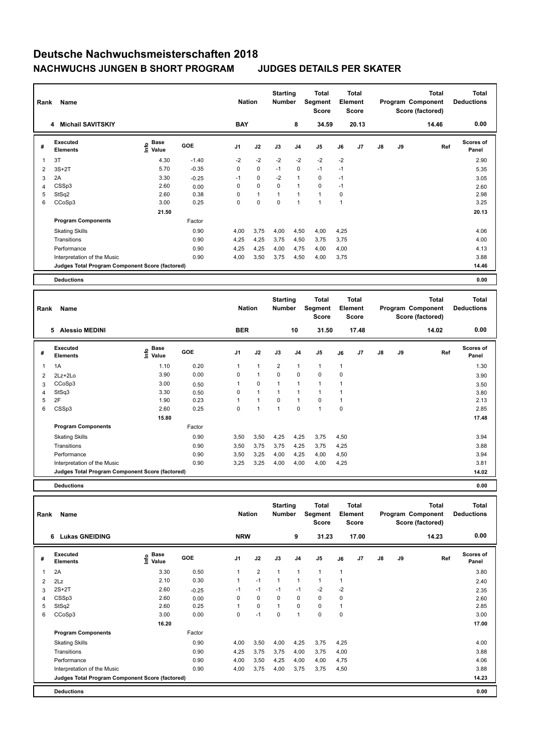| Rank           | Name                                            |                                  | <b>Nation</b> |                | <b>Starting</b><br><b>Number</b> |          | Total<br>Segment<br><b>Score</b> |                | <b>Total</b><br>Element<br><b>Score</b> |       |               | <b>Total</b><br>Program Component<br>Score (factored) | <b>Total</b><br><b>Deductions</b> |                           |
|----------------|-------------------------------------------------|----------------------------------|---------------|----------------|----------------------------------|----------|----------------------------------|----------------|-----------------------------------------|-------|---------------|-------------------------------------------------------|-----------------------------------|---------------------------|
|                | 4 Michail SAVITSKIY                             |                                  |               | <b>BAY</b>     |                                  |          | 8                                | 34.59          |                                         | 20.13 |               |                                                       | 14.46                             | 0.00                      |
| #              | Executed<br><b>Elements</b>                     | <b>Base</b><br>o Base<br>⊆ Value | <b>GOE</b>    | J <sub>1</sub> | J2                               | J3       | J <sub>4</sub>                   | J <sub>5</sub> | J6                                      | J7    | $\mathsf{J}8$ | J9                                                    | Ref                               | <b>Scores of</b><br>Panel |
| 1              | 3T                                              | 4.30                             | $-1.40$       | $-2$           | $-2$                             | $-2$     | $-2$                             | $-2$           | $-2$                                    |       |               |                                                       |                                   | 2.90                      |
| 2              | $3S+2T$                                         | 5.70                             | $-0.35$       | 0              | 0                                | $-1$     | $\mathbf 0$                      | $-1$           | $-1$                                    |       |               |                                                       |                                   | 5.35                      |
| 3              | 2A                                              | 3.30                             | $-0.25$       | $-1$           | $\mathbf 0$                      | $-2$     | $\overline{1}$                   | 0              | $-1$                                    |       |               |                                                       |                                   | 3.05                      |
| $\overline{4}$ | CSSp3                                           | 2.60                             | 0.00          | 0              | 0                                | 0        | $\mathbf{1}$                     | 0              | $-1$                                    |       |               |                                                       |                                   | 2.60                      |
| 5              | StSq2                                           | 2.60                             | 0.38          | $\Omega$       | $\mathbf{1}$                     |          | $\overline{1}$                   | $\mathbf{1}$   | $\Omega$                                |       |               |                                                       |                                   | 2.98                      |
| 6              | CCoSp3                                          | 3.00                             | 0.25          | 0              | $\mathbf 0$                      | $\Omega$ | 1                                | $\overline{ }$ | 1                                       |       |               |                                                       |                                   | 3.25                      |
|                |                                                 | 21.50                            |               |                |                                  |          |                                  |                |                                         |       |               |                                                       |                                   | 20.13                     |
|                | <b>Program Components</b>                       |                                  | Factor        |                |                                  |          |                                  |                |                                         |       |               |                                                       |                                   |                           |
|                | <b>Skating Skills</b>                           |                                  | 0.90          | 4,00           | 3,75                             | 4,00     | 4,50                             | 4,00           | 4,25                                    |       |               |                                                       |                                   | 4.06                      |
|                | Transitions                                     |                                  | 0.90          | 4,25           | 4,25                             | 3,75     | 4,50                             | 3,75           | 3,75                                    |       |               |                                                       |                                   | 4.00                      |
|                | Performance                                     |                                  | 0.90          | 4,25           | 4,25                             | 4,00     | 4,75                             | 4,00           | 4,00                                    |       |               |                                                       |                                   | 4.13                      |
|                | Interpretation of the Music                     |                                  | 0.90          | 4,00           | 3,50                             | 3,75     | 4,50                             | 4,00           | 3,75                                    |       |               |                                                       |                                   | 3.88                      |
|                | Judges Total Program Component Score (factored) |                                  |               |                |                                  |          |                                  |                |                                         |       |               |                                                       |                                   | 14.46                     |
|                | <b>Deductions</b>                               |                                  |               |                |                                  |          |                                  |                |                                         |       |               |                                                       |                                   | 0.00                      |

| Rank | Name                                            |                            | <b>Nation</b> |            | <b>Starting</b><br><b>Number</b> |                | <b>Total</b><br><b>Segment</b><br><b>Score</b> |                | <b>Total</b><br>Element<br><b>Score</b> |       |               | <b>Total</b><br>Program Component<br>Score (factored) | <b>Total</b><br><b>Deductions</b> |                           |
|------|-------------------------------------------------|----------------------------|---------------|------------|----------------------------------|----------------|------------------------------------------------|----------------|-----------------------------------------|-------|---------------|-------------------------------------------------------|-----------------------------------|---------------------------|
|      | <b>Alessio MEDINI</b><br>5                      |                            |               | <b>BER</b> |                                  |                | 10                                             | 31.50          |                                         | 17.48 |               |                                                       | 14.02                             | 0.00                      |
| #    | Executed<br><b>Elements</b>                     | <b>Base</b><br>۴o<br>Value | <b>GOE</b>    | J1         | J2                               | J3             | J <sub>4</sub>                                 | J <sub>5</sub> | J6                                      | J7    | $\mathsf{J}8$ | J9                                                    | Ref                               | <b>Scores of</b><br>Panel |
| 1    | 1A                                              | 1.10                       | 0.20          |            | 1                                | $\overline{2}$ | 1                                              | $\mathbf{1}$   | 1                                       |       |               |                                                       |                                   | 1.30                      |
| 2    | 2Lz+2Lo                                         | 3.90                       | 0.00          | 0          | $\mathbf{1}$                     | 0              | 0                                              | $\mathbf 0$    | 0                                       |       |               |                                                       |                                   | 3.90                      |
| 3    | CCoSp3                                          | 3.00                       | 0.50          |            | 0                                | 1              | 1                                              | $\overline{1}$ |                                         |       |               |                                                       |                                   | 3.50                      |
| 4    | StSq3                                           | 3.30                       | 0.50          | 0          | $\mathbf{1}$                     | 1              | 1                                              | 1              |                                         |       |               |                                                       |                                   | 3.80                      |
| 5    | 2F                                              | 1.90                       | 0.23          |            | $\overline{1}$                   | 0              | 1                                              | 0              | -1                                      |       |               |                                                       |                                   | 2.13                      |
| 6    | CSSp3                                           | 2.60                       | 0.25          | 0          | 1                                | 1              | 0                                              | $\overline{1}$ | 0                                       |       |               |                                                       |                                   | 2.85                      |
|      |                                                 | 15.80                      |               |            |                                  |                |                                                |                |                                         |       |               |                                                       |                                   | 17.48                     |
|      | <b>Program Components</b>                       |                            | Factor        |            |                                  |                |                                                |                |                                         |       |               |                                                       |                                   |                           |
|      | <b>Skating Skills</b>                           |                            | 0.90          | 3,50       | 3,50                             | 4,25           | 4,25                                           | 3,75           | 4,50                                    |       |               |                                                       |                                   | 3.94                      |
|      | Transitions                                     |                            | 0.90          | 3,50       | 3,75                             | 3,75           | 4,25                                           | 3,75           | 4,25                                    |       |               |                                                       |                                   | 3.88                      |
|      | Performance                                     |                            | 0.90          | 3,50       | 3,25                             | 4,00           | 4,25                                           | 4,00           | 4,50                                    |       |               |                                                       |                                   | 3.94                      |
|      | Interpretation of the Music                     |                            | 0.90          | 3,25       | 3,25                             | 4,00           | 4,00                                           | 4,00           | 4,25                                    |       |               |                                                       |                                   | 3.81                      |
|      | Judges Total Program Component Score (factored) |                            |               |            |                                  |                |                                                |                |                                         |       |               |                                                       |                                   | 14.02                     |
|      |                                                 |                            |               |            |                                  |                |                                                |                |                                         |       |               |                                                       |                                   |                           |

**Deductions 0.00**

| Rank | Name                                            |                            | <b>Nation</b> |                | <b>Starting</b><br><b>Number</b> |          | Total<br>Segment<br>Score |                | <b>Total</b><br>Element<br><b>Score</b> |                |               | Total<br>Program Component<br>Score (factored) | <b>Total</b><br><b>Deductions</b> |                           |
|------|-------------------------------------------------|----------------------------|---------------|----------------|----------------------------------|----------|---------------------------|----------------|-----------------------------------------|----------------|---------------|------------------------------------------------|-----------------------------------|---------------------------|
|      | <b>Lukas GNEIDING</b><br>6                      |                            |               | <b>NRW</b>     |                                  |          | 9                         | 31.23          |                                         | 17.00          |               |                                                | 14.23                             | 0.00                      |
| #    | Executed<br><b>Elements</b>                     | e Base<br>E Value<br>Value | <b>GOE</b>    | J <sub>1</sub> | J2                               | J3       | J <sub>4</sub>            | J <sub>5</sub> | J6                                      | J <sub>7</sub> | $\mathsf{J}8$ | J9                                             | Ref                               | <b>Scores of</b><br>Panel |
| 1    | 2A                                              | 3.30                       | 0.50          |                | $\overline{2}$                   | 1        | $\mathbf{1}$              | $\mathbf{1}$   | 1                                       |                |               |                                                |                                   | 3.80                      |
| 2    | 2Lz                                             | 2.10                       | 0.30          |                | $-1$                             | 1        | $\mathbf{1}$              | $\mathbf{1}$   | 1                                       |                |               |                                                |                                   | 2.40                      |
| 3    | $2S+2T$                                         | 2.60                       | $-0.25$       | $-1$           | $-1$                             | $-1$     | $-1$                      | $-2$           | $-2$                                    |                |               |                                                |                                   | 2.35                      |
| 4    | CSSp3                                           | 2.60                       | 0.00          | 0              | 0                                | $\Omega$ | 0                         | $\mathbf 0$    | $\mathbf 0$                             |                |               |                                                |                                   | 2.60                      |
| 5    | StSq2                                           | 2.60                       | 0.25          |                | $\mathbf 0$                      | 1        | $\mathbf 0$               | $\mathbf 0$    | 1                                       |                |               |                                                |                                   | 2.85                      |
| 6    | CCoSp3                                          | 3.00                       | 0.00          | 0              | $-1$                             | 0        | $\mathbf{1}$              | $\pmb{0}$      | $\mathbf 0$                             |                |               |                                                |                                   | 3.00                      |
|      |                                                 | 16.20                      |               |                |                                  |          |                           |                |                                         |                |               |                                                |                                   | 17.00                     |
|      | <b>Program Components</b>                       |                            | Factor        |                |                                  |          |                           |                |                                         |                |               |                                                |                                   |                           |
|      | <b>Skating Skills</b>                           |                            | 0.90          | 4,00           | 3,50                             | 4,00     | 4,25                      | 3,75           | 4,25                                    |                |               |                                                |                                   | 4.00                      |
|      | Transitions                                     |                            | 0.90          | 4,25           | 3,75                             | 3,75     | 4,00                      | 3,75           | 4,00                                    |                |               |                                                |                                   | 3.88                      |
|      | Performance                                     |                            | 0.90          | 4,00           | 3,50                             | 4,25     | 4,00                      | 4,00           | 4,75                                    |                |               |                                                |                                   | 4.06                      |
|      | Interpretation of the Music                     |                            | 0.90          | 4,00           | 3,75                             | 4,00     | 3,75                      | 3,75           | 4,50                                    |                |               |                                                |                                   | 3.88                      |
|      | Judges Total Program Component Score (factored) |                            |               |                |                                  |          |                           |                |                                         |                |               |                                                |                                   | 14.23                     |
|      | <b>Deductions</b>                               |                            |               |                |                                  |          |                           |                |                                         |                |               |                                                |                                   | 0.00                      |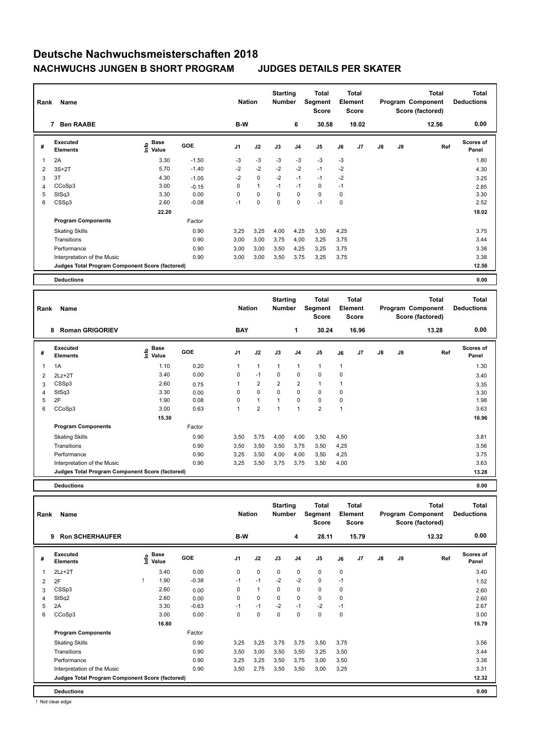| Rank | Name                                            |                                  | <b>Nation</b> |                | <b>Starting</b><br><b>Number</b> |             | Total<br>Segment<br><b>Score</b> |                | Total<br>Element<br><b>Score</b> |       |               | <b>Total</b><br>Program Component<br>Score (factored) | <b>Total</b><br><b>Deductions</b> |                           |
|------|-------------------------------------------------|----------------------------------|---------------|----------------|----------------------------------|-------------|----------------------------------|----------------|----------------------------------|-------|---------------|-------------------------------------------------------|-----------------------------------|---------------------------|
|      | <b>Ben RAABE</b><br>7                           |                                  |               | B-W            |                                  |             | 6                                | 30.58          |                                  | 18.02 |               |                                                       | 12.56                             | 0.00                      |
| #    | Executed<br><b>Elements</b>                     | <b>Base</b><br>o Base<br>⊆ Value | <b>GOE</b>    | J <sub>1</sub> | J2                               | J3          | J <sub>4</sub>                   | J <sub>5</sub> | J6                               | J7    | $\mathsf{J}8$ | J9                                                    | Ref                               | <b>Scores of</b><br>Panel |
| 1    | 2A                                              | 3.30                             | $-1.50$       | $-3$           | $-3$                             | $-3$        | $-3$                             | $-3$           | $-3$                             |       |               |                                                       |                                   | 1.80                      |
| 2    | $3S+2T$                                         | 5.70                             | $-1.40$       | $-2$           | $-2$                             | $-2$        | $-2$                             | $-1$           | $-2$                             |       |               |                                                       |                                   | 4.30                      |
| 3    | 3T                                              | 4.30                             | $-1.05$       | $-2$           | $\mathbf 0$                      | $-2$        | $-1$                             | $-1$           | $-2$                             |       |               |                                                       |                                   | 3.25                      |
| 4    | CCoSp3                                          | 3.00                             | $-0.15$       | 0              | $\mathbf{1}$                     | $-1$        | $-1$                             | 0              | $-1$                             |       |               |                                                       |                                   | 2.85                      |
| 5    | StSq3                                           | 3.30                             | 0.00          | $\Omega$       | $\mathbf 0$                      | $\mathbf 0$ | $\mathbf 0$                      | $\mathbf 0$    | 0                                |       |               |                                                       |                                   | 3.30                      |
| 6    | CSSp3                                           | 2.60                             | $-0.08$       | $-1$           | $\mathbf 0$                      | $\Omega$    | $\mathbf 0$                      | $-1$           | 0                                |       |               |                                                       |                                   | 2.52                      |
|      |                                                 | 22.20                            |               |                |                                  |             |                                  |                |                                  |       |               |                                                       |                                   | 18.02                     |
|      | <b>Program Components</b>                       |                                  | Factor        |                |                                  |             |                                  |                |                                  |       |               |                                                       |                                   |                           |
|      | <b>Skating Skills</b>                           |                                  | 0.90          | 3,25           | 3,25                             | 4,00        | 4,25                             | 3,50           | 4,25                             |       |               |                                                       |                                   | 3.75                      |
|      | Transitions                                     |                                  | 0.90          | 3,00           | 3,00                             | 3,75        | 4,00                             | 3,25           | 3,75                             |       |               |                                                       |                                   | 3.44                      |
|      | Performance                                     |                                  | 0.90          | 3,00           | 3,00                             | 3,50        | 4,25                             | 3,25           | 3,75                             |       |               |                                                       |                                   | 3.38                      |
|      | Interpretation of the Music                     |                                  | 0.90          | 3,00           | 3,00                             | 3,50        | 3,75                             | 3,25           | 3,75                             |       |               |                                                       |                                   | 3.38                      |
|      | Judges Total Program Component Score (factored) |                                  |               |                |                                  |             |                                  |                |                                  |       |               |                                                       |                                   | 12.56                     |
|      | <b>Deductions</b>                               |                                  |               |                |                                  |             |                                  |                |                                  |       |               |                                                       |                                   | 0.00                      |

| Rank | Name<br>8                                       |                                  |        |                | <b>Nation</b>  | <b>Starting</b><br><b>Number</b> |                | <b>Total</b><br>Segment<br><b>Score</b> |                | <b>Total</b><br>Element<br><b>Score</b> |               |    | <b>Total</b><br>Program Component<br>Score (factored) | <b>Total</b><br><b>Deductions</b> |
|------|-------------------------------------------------|----------------------------------|--------|----------------|----------------|----------------------------------|----------------|-----------------------------------------|----------------|-----------------------------------------|---------------|----|-------------------------------------------------------|-----------------------------------|
|      | <b>Roman GRIGORIEV</b>                          |                                  |        | <b>BAY</b>     |                |                                  | 1              | 30.24                                   |                | 16.96                                   |               |    | 13.28                                                 | 0.00                              |
| #    | <b>Executed</b><br><b>Elements</b>              | <b>Base</b><br>e Base<br>⊆ Value | GOE    | J <sub>1</sub> | J2             | J3                               | J <sub>4</sub> | J5                                      | J6             | J <sub>7</sub>                          | $\mathsf{J}8$ | J9 | Ref                                                   | <b>Scores of</b><br>Panel         |
| 1    | 1A                                              | 1.10                             | 0.20   | 1              | $\mathbf{1}$   | 1                                | 1              | $\mathbf{1}$                            | 1              |                                         |               |    |                                                       | 1.30                              |
| 2    | $2Lz+2T$                                        | 3.40                             | 0.00   | 0              | $-1$           | 0                                | 0              | $\mathbf 0$                             | 0              |                                         |               |    |                                                       | 3.40                              |
| 3    | CSSp3                                           | 2.60                             | 0.75   | 1              | 2              | $\overline{2}$                   | $\overline{2}$ | $\mathbf{1}$                            | 1              |                                         |               |    |                                                       | 3.35                              |
| 4    | StSq3                                           | 3.30                             | 0.00   | 0              | 0              | 0                                | $\Omega$       | 0                                       | 0              |                                         |               |    |                                                       | 3.30                              |
| 5    | 2F                                              | 1.90                             | 0.08   | 0              | $\mathbf{1}$   | 1                                | $\Omega$       | 0                                       | 0              |                                         |               |    |                                                       | 1.98                              |
| 6    | CCoSp3                                          | 3.00                             | 0.63   | 1              | $\overline{2}$ | 1                                | 1              | $\overline{2}$                          | $\overline{1}$ |                                         |               |    |                                                       | 3.63                              |
|      |                                                 | 15.30                            |        |                |                |                                  |                |                                         |                |                                         |               |    |                                                       | 16.96                             |
|      | <b>Program Components</b>                       |                                  | Factor |                |                |                                  |                |                                         |                |                                         |               |    |                                                       |                                   |
|      | <b>Skating Skills</b>                           |                                  | 0.90   | 3,50           | 3,75           | 4,00                             | 4,00           | 3,50                                    | 4,50           |                                         |               |    |                                                       | 3.81                              |
|      | Transitions                                     |                                  | 0.90   | 3,50           | 3,50           | 3,50                             | 3,75           | 3,50                                    | 4,25           |                                         |               |    |                                                       | 3.56                              |
|      | Performance                                     |                                  | 0.90   | 3,25           | 3,50           | 4,00                             | 4,00           | 3,50                                    | 4,25           |                                         |               |    |                                                       | 3.75                              |
|      | Interpretation of the Music                     |                                  | 0.90   | 3,25           | 3,50           | 3,75                             | 3,75           | 3,50                                    | 4,00           |                                         |               |    |                                                       | 3.63                              |
|      | Judges Total Program Component Score (factored) |                                  |        |                |                |                                  |                |                                         |                |                                         |               |    |                                                       | 13.28                             |
|      |                                                 |                                  |        |                |                |                                  |                |                                         |                |                                         |               |    |                                                       |                                   |

**Deductions 0.00**

| Rank | Name                                            |                   | <b>Nation</b> |                | <b>Starting</b><br><b>Number</b> |          | Total<br>Segment<br><b>Score</b> |                | <b>Total</b><br>Element<br><b>Score</b> |       |               | <b>Total</b><br>Program Component<br>Score (factored) | Total<br><b>Deductions</b> |                           |
|------|-------------------------------------------------|-------------------|---------------|----------------|----------------------------------|----------|----------------------------------|----------------|-----------------------------------------|-------|---------------|-------------------------------------------------------|----------------------------|---------------------------|
|      | <b>Ron SCHERHAUFER</b><br>9                     |                   |               | B-W            |                                  |          | 4                                | 28.11          |                                         | 15.79 |               |                                                       | 12.32                      | 0.00                      |
| #    | Executed<br><b>Elements</b>                     | e Base<br>E Value | <b>GOE</b>    | J <sub>1</sub> | J2                               | J3       | J <sub>4</sub>                   | J <sub>5</sub> | J6                                      | J7    | $\mathsf{J}8$ | J9                                                    | Ref                        | <b>Scores of</b><br>Panel |
| 1    | $2Lz+2T$                                        | 3.40              | 0.00          | 0              | $\mathbf 0$                      | 0        | 0                                | 0              | 0                                       |       |               |                                                       |                            | 3.40                      |
| 2    | 2F                                              | 1.90              | $-0.38$       | $-1$           | $-1$                             | $-2$     | $-2$                             | $\mathbf 0$    | $-1$                                    |       |               |                                                       |                            | 1.52                      |
| 3    | CSSp3                                           | 2.60              | 0.00          | 0              | $\mathbf{1}$                     | 0        | $\mathbf 0$                      | $\mathbf 0$    | 0                                       |       |               |                                                       |                            | 2.60                      |
| 4    | StSq2                                           | 2.60              | 0.00          | 0              | 0                                | $\Omega$ | 0                                | 0              | 0                                       |       |               |                                                       |                            | 2.60                      |
| 5    | 2A                                              | 3.30              | $-0.63$       | -1             | $-1$                             | $-2$     | $-1$                             | $-2$           | $-1$                                    |       |               |                                                       |                            | 2.67                      |
| 6    | CCoSp3                                          | 3.00              | 0.00          | $\Omega$       | 0                                | 0        | 0                                | $\mathbf 0$    | 0                                       |       |               |                                                       |                            | 3.00                      |
|      |                                                 | 16.80             |               |                |                                  |          |                                  |                |                                         |       |               |                                                       |                            | 15.79                     |
|      | <b>Program Components</b>                       |                   | Factor        |                |                                  |          |                                  |                |                                         |       |               |                                                       |                            |                           |
|      | <b>Skating Skills</b>                           |                   | 0.90          | 3,25           | 3,25                             | 3,75     | 3,75                             | 3,50           | 3,75                                    |       |               |                                                       |                            | 3.56                      |
|      | Transitions                                     |                   | 0.90          | 3,50           | 3,00                             | 3,50     | 3,50                             | 3,25           | 3,50                                    |       |               |                                                       |                            | 3.44                      |
|      | Performance                                     |                   | 0.90          | 3,25           | 3,25                             | 3,50     | 3,75                             | 3,00           | 3,50                                    |       |               |                                                       |                            | 3.38                      |
|      | Interpretation of the Music                     |                   | 0.90          | 3,50           | 2,75                             | 3,50     | 3,50                             | 3,00           | 3,25                                    |       |               |                                                       |                            | 3.31                      |
|      | Judges Total Program Component Score (factored) |                   |               |                |                                  |          |                                  |                |                                         |       |               |                                                       |                            | 12.32                     |
|      | <b>Deductions</b>                               |                   |               |                |                                  |          |                                  |                |                                         |       |               |                                                       |                            | 0.00                      |

! Not clear edge